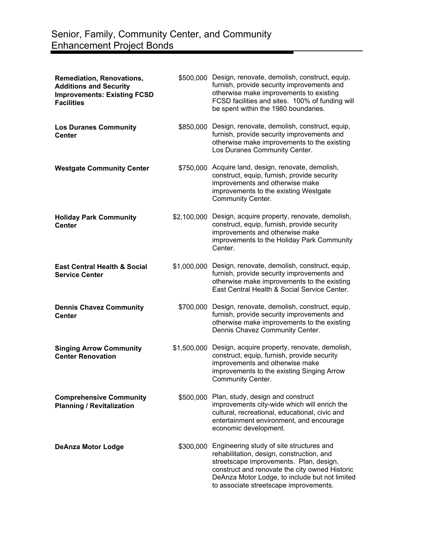| Remediation, Renovations,<br><b>Additions and Security</b><br><b>Improvements: Existing FCSD</b><br><b>Facilities</b> |             | \$500,000 Design, renovate, demolish, construct, equip,<br>furnish, provide security improvements and<br>otherwise make improvements to existing<br>FCSD facilities and sites. 100% of funding will<br>be spent within the 1980 boundaries.                                    |
|-----------------------------------------------------------------------------------------------------------------------|-------------|--------------------------------------------------------------------------------------------------------------------------------------------------------------------------------------------------------------------------------------------------------------------------------|
| <b>Los Duranes Community</b><br><b>Center</b>                                                                         |             | \$850,000 Design, renovate, demolish, construct, equip,<br>furnish, provide security improvements and<br>otherwise make improvements to the existing<br>Los Duranes Community Center.                                                                                          |
| <b>Westgate Community Center</b>                                                                                      |             | \$750,000 Acquire land, design, renovate, demolish,<br>construct, equip, furnish, provide security<br>improvements and otherwise make<br>improvements to the existing Westgate<br>Community Center.                                                                            |
| <b>Holiday Park Community</b><br><b>Center</b>                                                                        |             | \$2,100,000 Design, acquire property, renovate, demolish,<br>construct, equip, furnish, provide security<br>improvements and otherwise make<br>improvements to the Holiday Park Community<br>Center.                                                                           |
| <b>East Central Health &amp; Social</b><br><b>Service Center</b>                                                      |             | \$1,000,000 Design, renovate, demolish, construct, equip,<br>furnish, provide security improvements and<br>otherwise make improvements to the existing<br>East Central Health & Social Service Center.                                                                         |
| <b>Dennis Chavez Community</b><br><b>Center</b>                                                                       |             | \$700,000 Design, renovate, demolish, construct, equip,<br>furnish, provide security improvements and<br>otherwise make improvements to the existing<br>Dennis Chavez Community Center.                                                                                        |
| <b>Singing Arrow Community</b><br><b>Center Renovation</b>                                                            | \$1,500,000 | Design, acquire property, renovate, demolish,<br>construct, equip, furnish, provide security<br>improvements and otherwise make<br>improvements to the existing Singing Arrow<br>Community Center.                                                                             |
| <b>Comprehensive Community</b><br><b>Planning / Revitalization</b>                                                    |             | \$500,000 Plan, study, design and construct<br>improvements city-wide which will enrich the<br>cultural, recreational, educational, civic and<br>entertainment environment, and encourage<br>economic development.                                                             |
| <b>DeAnza Motor Lodge</b>                                                                                             | \$300,000   | Engineering study of site structures and<br>rehabilitation, design, construction, and<br>streetscape improvements. Plan, design,<br>construct and renovate the city owned Historic<br>DeAnza Motor Lodge, to include but not limited<br>to associate streetscape improvements. |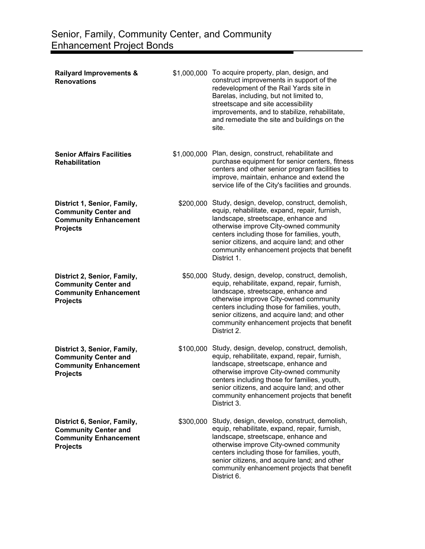| <b>Railyard Improvements &amp;</b><br><b>Renovations</b>                                                      |           | \$1,000,000 To acquire property, plan, design, and<br>construct improvements in support of the<br>redevelopment of the Rail Yards site in<br>Barelas, including, but not limited to,<br>streetscape and site accessibility<br>improvements, and to stabilize, rehabilitate,<br>and remediate the site and buildings on the<br>site.                    |
|---------------------------------------------------------------------------------------------------------------|-----------|--------------------------------------------------------------------------------------------------------------------------------------------------------------------------------------------------------------------------------------------------------------------------------------------------------------------------------------------------------|
| <b>Senior Affairs Facilities</b><br><b>Rehabilitation</b>                                                     |           | \$1,000,000 Plan, design, construct, rehabilitate and<br>purchase equipment for senior centers, fitness<br>centers and other senior program facilities to<br>improve, maintain, enhance and extend the<br>service life of the City's facilities and grounds.                                                                                           |
| District 1, Senior, Family,<br><b>Community Center and</b><br><b>Community Enhancement</b><br><b>Projects</b> |           | \$200,000 Study, design, develop, construct, demolish,<br>equip, rehabilitate, expand, repair, furnish,<br>landscape, streetscape, enhance and<br>otherwise improve City-owned community<br>centers including those for families, youth,<br>senior citizens, and acquire land; and other<br>community enhancement projects that benefit<br>District 1. |
| District 2, Senior, Family,<br><b>Community Center and</b><br><b>Community Enhancement</b><br><b>Projects</b> | \$50,000  | Study, design, develop, construct, demolish,<br>equip, rehabilitate, expand, repair, furnish,<br>landscape, streetscape, enhance and<br>otherwise improve City-owned community<br>centers including those for families, youth,<br>senior citizens, and acquire land; and other<br>community enhancement projects that benefit<br>District 2.           |
| District 3, Senior, Family,<br><b>Community Center and</b><br><b>Community Enhancement</b><br><b>Projects</b> | \$100,000 | Study, design, develop, construct, demolish,<br>equip, rehabilitate, expand, repair, furnish,<br>landscape, streetscape, enhance and<br>otherwise improve City-owned community<br>centers including those for families, youth,<br>senior citizens, and acquire land; and other<br>community enhancement projects that benefit<br>District 3.           |
| District 6, Senior, Family,<br><b>Community Center and</b><br><b>Community Enhancement</b><br><b>Projects</b> | \$300,000 | Study, design, develop, construct, demolish,<br>equip, rehabilitate, expand, repair, furnish,<br>landscape, streetscape, enhance and<br>otherwise improve City-owned community<br>centers including those for families, youth,<br>senior citizens, and acquire land; and other<br>community enhancement projects that benefit<br>District 6.           |